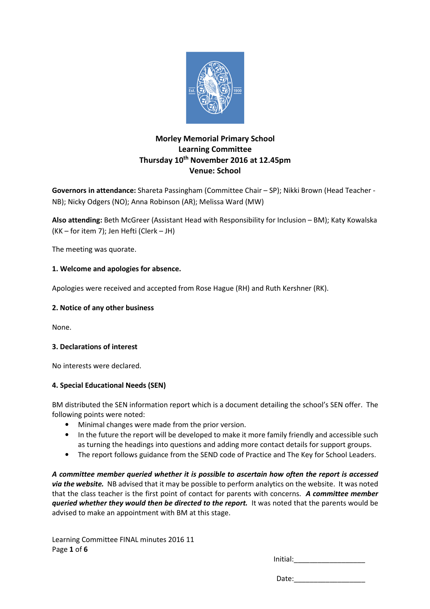

# **Morley Memorial Primary School Learning Committee Thursday 10th November 2016 at 12.45pm Venue: School**

**Governors in attendance:** Shareta Passingham (Committee Chair – SP); Nikki Brown (Head Teacher - NB); Nicky Odgers (NO); Anna Robinson (AR); Melissa Ward (MW)

**Also attending:** Beth McGreer (Assistant Head with Responsibility for Inclusion – BM); Katy Kowalska (KK – for item 7); Jen Hefti (Clerk – JH)

The meeting was quorate.

# **1. Welcome and apologies for absence.**

Apologies were received and accepted from Rose Hague (RH) and Ruth Kershner (RK).

### **2. Notice of any other business**

None.

### **3. Declarations of interest**

No interests were declared.

### **4. Special Educational Needs (SEN)**

BM distributed the SEN information report which is a document detailing the school's SEN offer. The following points were noted:

- Minimal changes were made from the prior version.
- In the future the report will be developed to make it more family friendly and accessible such as turning the headings into questions and adding more contact details for support groups.
- The report follows guidance from the SEND code of Practice and The Key for School Leaders.

*A committee member queried whether it is possible to ascertain how often the report is accessed via the website.* NB advised that it may be possible to perform analytics on the website. It was noted that the class teacher is the first point of contact for parents with concerns. *A committee member queried whether they would then be directed to the report.* It was noted that the parents would be advised to make an appointment with BM at this stage.

Learning Committee FINAL minutes 2016 11 Page **1** of **6**

Initial: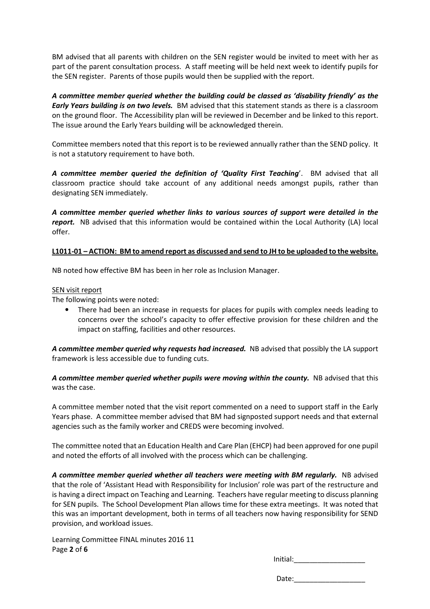BM advised that all parents with children on the SEN register would be invited to meet with her as part of the parent consultation process. A staff meeting will be held next week to identify pupils for the SEN register. Parents of those pupils would then be supplied with the report.

*A committee member queried whether the building could be classed as 'disability friendly' as the Early Years building is on two levels.* BM advised that this statement stands as there is a classroom on the ground floor. The Accessibility plan will be reviewed in December and be linked to this report. The issue around the Early Years building will be acknowledged therein.

Committee members noted that this report is to be reviewed annually rather than the SEND policy. It is not a statutory requirement to have both.

*A committee member queried the definition of 'Quality First Teaching*'. BM advised that all classroom practice should take account of any additional needs amongst pupils, rather than designating SEN immediately.

*A committee member queried whether links to various sources of support were detailed in the report.* NB advised that this information would be contained within the Local Authority (LA) local offer.

### **L1011-01 – ACTION: BM to amend report as discussed and send to JH to be uploaded to the website.**

NB noted how effective BM has been in her role as Inclusion Manager.

### SEN visit report

The following points were noted:

• There had been an increase in requests for places for pupils with complex needs leading to concerns over the school's capacity to offer effective provision for these children and the impact on staffing, facilities and other resources.

A committee member queried why requests had increased. NB advised that possibly the LA support framework is less accessible due to funding cuts.

A committee member queried whether pupils were moving within the county. NB advised that this was the case.

A committee member noted that the visit report commented on a need to support staff in the Early Years phase. A committee member advised that BM had signposted support needs and that external agencies such as the family worker and CREDS were becoming involved.

The committee noted that an Education Health and Care Plan (EHCP) had been approved for one pupil and noted the efforts of all involved with the process which can be challenging.

A committee member queried whether all teachers were meeting with BM reqularly. NB advised that the role of 'Assistant Head with Responsibility for Inclusion' role was part of the restructure and is having a direct impact on Teaching and Learning. Teachers have regular meeting to discuss planning for SEN pupils. The School Development Plan allows time for these extra meetings. It was noted that this was an important development, both in terms of all teachers now having responsibility for SEND provision, and workload issues.

Learning Committee FINAL minutes 2016 11 Page **2** of **6**

Initial: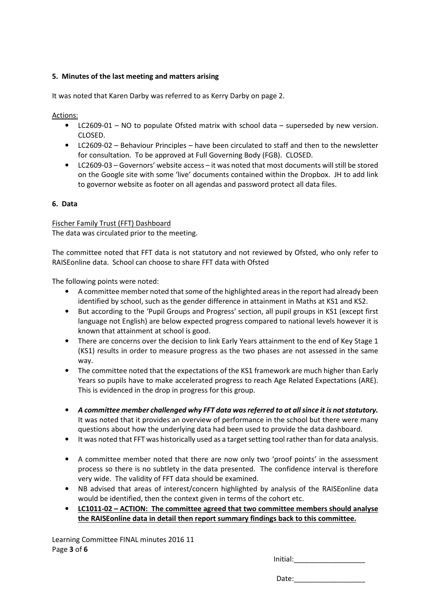# **5. Minutes of the last meeting and matters arising**

It was noted that Karen Darby was referred to as Kerry Darby on page 2.

Actions:

- LC2609-01 NO to populate Ofsted matrix with school data superseded by new version. CLOSED.
- LC2609-02 Behaviour Principles have been circulated to staff and then to the newsletter for consultation. To be approved at Full Governing Body (FGB). CLOSED.
- LC2609-03 Governors' website access it was noted that most documents will still be stored on the Google site with some 'live' documents contained within the Dropbox. JH to add link to governor website as footer on all agendas and password protect all data files.

# **6. Data**

Fischer Family Trust (FFT) Dashboard

The data was circulated prior to the meeting.

The committee noted that FFT data is not statutory and not reviewed by Ofsted, who only refer to RAISEonline data. School can choose to share FFT data with Ofsted

The following points were noted:

- A committee member noted that some of the highlighted areas in the report had already been identified by school, such as the gender difference in attainment in Maths at KS1 and KS2.
- But according to the 'Pupil Groups and Progress' section, all pupil groups in KS1 (except first language not English) are below expected progress compared to national levels however it is known that attainment at school is good.
- There are concerns over the decision to link Early Years attainment to the end of Key Stage 1 (KS1) results in order to measure progress as the two phases are not assessed in the same way.
- The committee noted that the expectations of the KS1 framework are much higher than Early Years so pupils have to make accelerated progress to reach Age Related Expectations (ARE). This is evidenced in the drop in progress for this group.
- *A committee member challenged why FFT data was referred to at all since it is not statutory.* It was noted that it provides an overview of performance in the school but there were many questions about how the underlying data had been used to provide the data dashboard.
- It was noted that FFT was historically used as a target setting tool rather than for data analysis.
- A committee member noted that there are now only two 'proof points' in the assessment process so there is no subtlety in the data presented. The confidence interval is therefore very wide. The validity of FFT data should be examined.
- NB advised that areas of interest/concern highlighted by analysis of the RAISEonline data would be identified, then the context given in terms of the cohort etc.
- **LC1011-02 ACTION: The committee agreed that two committee members should analyse the RAISEonline data in detail then report summary findings back to this committee.**

Learning Committee FINAL minutes 2016 11 Page **3** of **6**

Initial: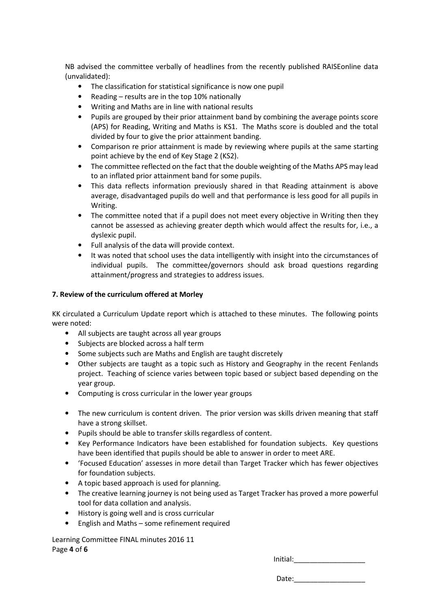NB advised the committee verbally of headlines from the recently published RAISEonline data (unvalidated):

- The classification for statistical significance is now one pupil
- Reading results are in the top 10% nationally
- Writing and Maths are in line with national results
- Pupils are grouped by their prior attainment band by combining the average points score (APS) for Reading, Writing and Maths is KS1. The Maths score is doubled and the total divided by four to give the prior attainment banding.
- Comparison re prior attainment is made by reviewing where pupils at the same starting point achieve by the end of Key Stage 2 (KS2).
- The committee reflected on the fact that the double weighting of the Maths APS may lead to an inflated prior attainment band for some pupils.
- This data reflects information previously shared in that Reading attainment is above average, disadvantaged pupils do well and that performance is less good for all pupils in Writing.
- The committee noted that if a pupil does not meet every objective in Writing then they cannot be assessed as achieving greater depth which would affect the results for, i.e., a dyslexic pupil.
- Full analysis of the data will provide context.
- It was noted that school uses the data intelligently with insight into the circumstances of individual pupils. The committee/governors should ask broad questions regarding attainment/progress and strategies to address issues.

### **7. Review of the curriculum offered at Morley**

KK circulated a Curriculum Update report which is attached to these minutes. The following points were noted:

- All subjects are taught across all year groups
- Subjects are blocked across a half term
- Some subjects such are Maths and English are taught discretely
- Other subjects are taught as a topic such as History and Geography in the recent Fenlands project. Teaching of science varies between topic based or subject based depending on the year group.
- Computing is cross curricular in the lower year groups
- The new curriculum is content driven. The prior version was skills driven meaning that staff have a strong skillset.
- Pupils should be able to transfer skills regardless of content.
- Key Performance Indicators have been established for foundation subjects. Key questions have been identified that pupils should be able to answer in order to meet ARE.
- 'Focused Education' assesses in more detail than Target Tracker which has fewer objectives for foundation subjects.
- A topic based approach is used for planning.
- The creative learning journey is not being used as Target Tracker has proved a more powerful tool for data collation and analysis.
- History is going well and is cross curricular
- English and Maths some refinement required

Learning Committee FINAL minutes 2016 11 Page **4** of **6**

Initial: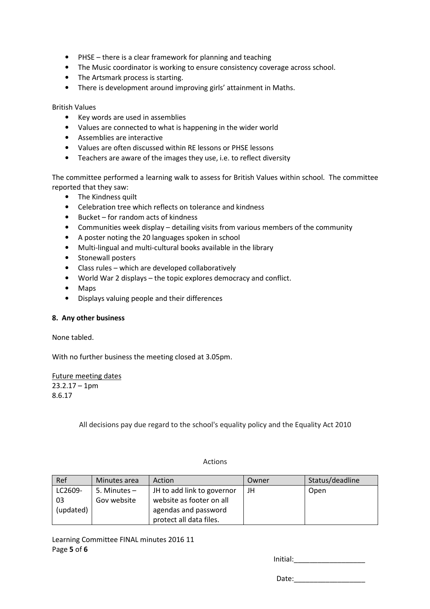- PHSE there is a clear framework for planning and teaching
- The Music coordinator is working to ensure consistency coverage across school.
- The Artsmark process is starting.
- There is development around improving girls' attainment in Maths.

#### British Values

- Key words are used in assemblies
- Values are connected to what is happening in the wider world
- Assemblies are interactive
- Values are often discussed within RE lessons or PHSE lessons
- Teachers are aware of the images they use, i.e. to reflect diversity

The committee performed a learning walk to assess for British Values within school. The committee reported that they saw:

- The Kindness quilt
- Celebration tree which reflects on tolerance and kindness
- Bucket for random acts of kindness
- Communities week display detailing visits from various members of the community
- A poster noting the 20 languages spoken in school
- Multi-lingual and multi-cultural books available in the library
- Stonewall posters
- Class rules which are developed collaboratively
- World War 2 displays the topic explores democracy and conflict.
- Maps
- Displays valuing people and their differences

### **8. Any other business**

None tabled.

With no further business the meeting closed at 3.05pm.

Future meeting dates  $23.2.17 - 1$ pm 8.6.17

All decisions pay due regard to the school's equality policy and the Equality Act 2010

### Actions

| Ref       | Minutes area | Action                     | Owner | Status/deadline |
|-----------|--------------|----------------------------|-------|-----------------|
| LC2609-   | 5. Minutes – | JH to add link to governor | JH    | Open            |
| 03        | Gov website  | website as footer on all   |       |                 |
| (updated) |              | agendas and password       |       |                 |
|           |              | protect all data files.    |       |                 |

Learning Committee FINAL minutes 2016 11 Page **5** of **6**

Initial: